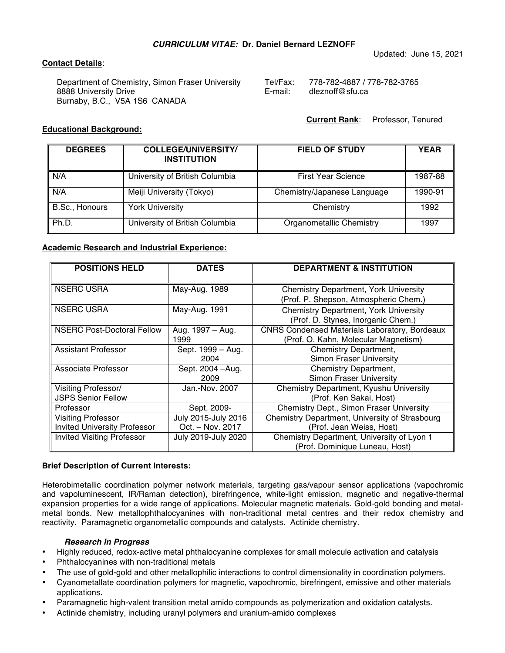## *CURRICULUM VITAE:* **Dr. Daniel Bernard LEZNOFF**

# **Contact Details**:

Department of Chemistry, Simon Fraser University 8888 University Drive Burnaby, B.C., V5A 1S6 CANADA

| Tel/Fax: | 778-782-4887 / 778-782-3765 |
|----------|-----------------------------|
| E-mail:  | dleznoff@sfu.ca             |

 **Current Rank**: Professor, Tenured

Updated: June 15, 2021

# **Educational Background:**

| <b>DEGREES</b> | <b>COLLEGE/UNIVERSITY/</b><br><b>INSTITUTION</b> | <b>FIELD OF STUDY</b>       | <b>YEAR</b> |
|----------------|--------------------------------------------------|-----------------------------|-------------|
| N/A            | University of British Columbia                   | <b>First Year Science</b>   | 1987-88     |
| N/A            | Meiji University (Tokyo)                         | Chemistry/Japanese Language | 1990-91     |
| B.Sc., Honours | <b>York University</b>                           | Chemistry                   | 1992        |
| Ph.D.          | University of British Columbia                   | Organometallic Chemistry    | 1997        |

## **Academic Research and Industrial Experience:**

| <b>POSITIONS HELD</b>               | <b>DATES</b>        | <b>DEPARTMENT &amp; INSTITUTION</b>                  |
|-------------------------------------|---------------------|------------------------------------------------------|
|                                     |                     |                                                      |
| <b>NSERC USRA</b>                   | May-Aug. 1989       | <b>Chemistry Department, York University</b>         |
|                                     |                     | (Prof. P. Shepson, Atmospheric Chem.)                |
| <b>NSERC USRA</b>                   | May-Aug. 1991       | <b>Chemistry Department, York University</b>         |
|                                     |                     | (Prof. D. Stynes, Inorganic Chem.)                   |
| <b>NSERC Post-Doctoral Fellow</b>   | Aug. 1997 - Aug.    | <b>CNRS Condensed Materials Laboratory, Bordeaux</b> |
|                                     | 1999                | (Prof. O. Kahn, Molecular Magnetism)                 |
| <b>Assistant Professor</b>          | Sept. 1999 - Aug.   | Chemistry Department,                                |
|                                     | 2004                | <b>Simon Fraser University</b>                       |
| Associate Professor                 | Sept. 2004 - Aug.   | Chemistry Department,                                |
|                                     | 2009                | Simon Fraser University                              |
| Visiting Professor/                 | Jan.-Nov. 2007      | Chemistry Department, Kyushu University              |
| <b>JSPS Senior Fellow</b>           |                     | (Prof. Ken Sakai, Host)                              |
| Professor                           | Sept. 2009-         | Chemistry Dept., Simon Fraser University             |
| <b>Visiting Professor</b>           | July 2015-July 2016 | Chemistry Department, University of Strasbourg       |
| <b>Invited University Professor</b> | Oct. - Nov. 2017    | (Prof. Jean Weiss, Host)                             |
| <b>Invited Visiting Professor</b>   | July 2019-July 2020 | Chemistry Department, University of Lyon 1           |
|                                     |                     | (Prof. Dominique Luneau, Host)                       |

## **Brief Description of Current Interests:**

Heterobimetallic coordination polymer network materials, targeting gas/vapour sensor applications (vapochromic and vapoluminescent, IR/Raman detection), birefringence, white-light emission, magnetic and negative-thermal expansion properties for a wide range of applications. Molecular magnetic materials. Gold-gold bonding and metalmetal bonds. New metallophthalocyanines with non-traditional metal centres and their redox chemistry and reactivity. Paramagnetic organometallic compounds and catalysts. Actinide chemistry.

## *Research in Progress*

- Highly reduced, redox-active metal phthalocyanine complexes for small molecule activation and catalysis
- Phthalocyanines with non-traditional metals
- The use of gold-gold and other metallophilic interactions to control dimensionality in coordination polymers.
- Cyanometallate coordination polymers for magnetic, vapochromic, birefringent, emissive and other materials applications.
- Paramagnetic high-valent transition metal amido compounds as polymerization and oxidation catalysts.
- Actinide chemistry, including uranyl polymers and uranium-amido complexes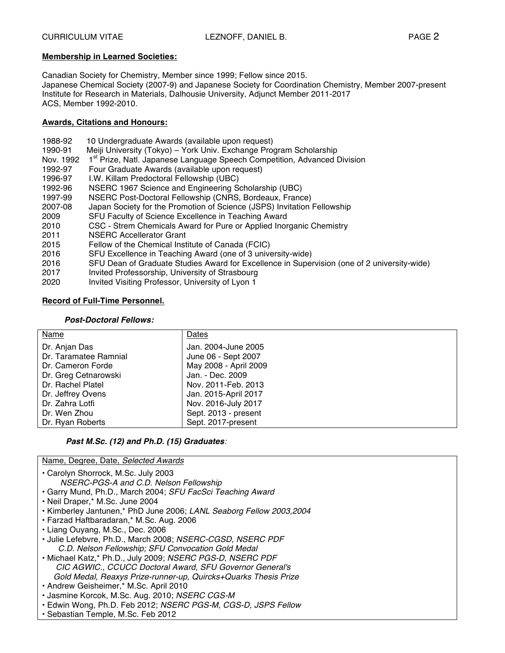# **Membership in Learned Societies:**

Canadian Society for Chemistry, Member since 1999; Fellow since 2015. Japanese Chemical Society (2007-9) and Japanese Society for Coordination Chemistry, Member 2007-present Institute for Research in Materials, Dalhousie University, Adjunct Member 2011-2017 ACS, Member 1992-2010.

# **Awards, Citations and Honours:**

| I.W. Killam Predoctoral Fellowship (UBC)<br>1996-97<br>1992-96<br>NSERC 1967 Science and Engineering Scholarship (UBC)<br>NSERC Post-Doctoral Fellowship (CNRS, Bordeaux, France)<br>1997-99<br>Japan Society for the Promotion of Science (JSPS) Invitation Fellowship<br>2007-08<br>SFU Faculty of Science Excellence in Teaching Award<br>2009<br>CSC - Strem Chemicals Award for Pure or Applied Inorganic Chemistry<br>2010<br><b>NSERC Accellerator Grant</b><br>2011<br>2015<br>Fellow of the Chemical Institute of Canada (FCIC)<br>SFU Excellence in Teaching Award (one of 3 university-wide)<br>2016<br>SFU Dean of Graduate Studies Award for Excellence in Supervision (one of 2 university-wide)<br>2016<br>Invited Professorship, University of Strasbourg<br>2017 |  |
|-----------------------------------------------------------------------------------------------------------------------------------------------------------------------------------------------------------------------------------------------------------------------------------------------------------------------------------------------------------------------------------------------------------------------------------------------------------------------------------------------------------------------------------------------------------------------------------------------------------------------------------------------------------------------------------------------------------------------------------------------------------------------------------|--|
| Invited Visiting Professor, University of Lyon 1<br>2020                                                                                                                                                                                                                                                                                                                                                                                                                                                                                                                                                                                                                                                                                                                          |  |

# **Record of Full-Time Personnel.**

# *Post-Doctoral Fellows:*

| Name                                   | Dates                                      |
|----------------------------------------|--------------------------------------------|
| Dr. Anjan Das<br>Dr. Taramatee Ramnial | Jan. 2004-June 2005<br>June 06 - Sept 2007 |
| Dr. Cameron Forde                      | May 2008 - April 2009                      |
| Dr. Greg Cetnarowski                   | Jan. - Dec. 2009                           |
| Dr. Rachel Platel                      | Nov. 2011-Feb. 2013                        |
| Dr. Jeffrey Ovens                      | Jan. 2015-April 2017                       |
| Dr. Zahra Lotfi                        | Nov. 2016-July 2017                        |
| Dr. Wen Zhou                           | Sept. 2013 - present                       |
| Dr. Ryan Roberts                       | Sept. 2017-present                         |

# *Past M.Sc. (12) and Ph.D. (15) Graduates:*

Name, Degree, Date, *Selected Awards*

• Carolyn Shorrock, M.Sc. July 2003

- *NSERC-PGS-A and C.D. Nelson Fellowship*
- Garry Mund, Ph.D., March 2004; *SFU FacSci Teaching Award*
- Neil Draper,\* M.Sc. June 2004
- Kimberley Jantunen,\* PhD June 2006; *LANL Seaborg Fellow 2003,2004*
- Farzad Haftbaradaran,\* M.Sc. Aug. 2006
- Liang Ouyang, M.Sc., Dec. 2006
- Julie Lefebvre, Ph.D., March 2008; *NSERC-CGSD, NSERC PDF C.D. Nelson Fellowship; SFU Convocation Gold Medal*
- Michael Katz,\* Ph.D., July 2009; *NSERC PGS-D, NSERC PDF CIC AGWIC., CCUCC Doctoral Award, SFU Governor General's Gold Medal, Reaxys Prize-runner-up, Quircks+Quarks Thesis Prize*
- Andrew Geisheimer,\* M.Sc. April 2010
- Jasmine Korcok, M.Sc. Aug. 2010; *NSERC CGS-M*
- Edwin Wong, Ph.D. Feb 2012; *NSERC PGS-M, CGS-D, JSPS Fellow*
- Sebastian Temple, M.Sc. Feb 2012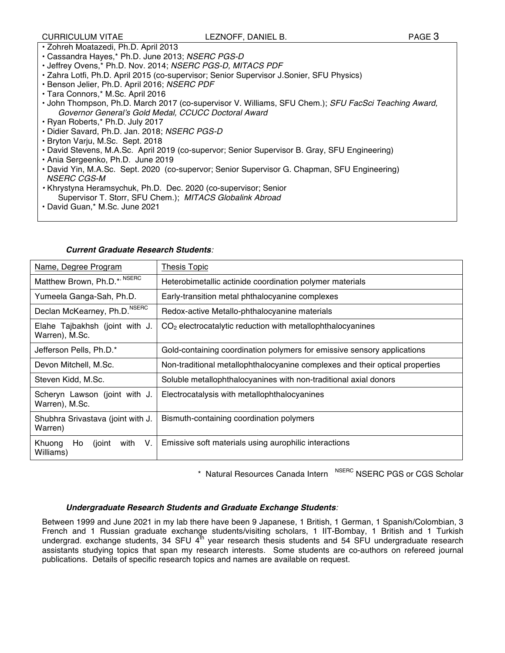# CURRICULUM VITAE LEZNOFF, DANIEL B. PAGE 3

- Zohreh Moatazedi, Ph.D. April 2013
- Cassandra Hayes,\* Ph.D. June 2013; *NSERC PGS-D*
- Jeffrey Ovens,\* Ph.D. Nov. 2014; *NSERC PGS-D, MITACS PDF*
- Zahra Lotfi, Ph.D. April 2015 (co-supervisor; Senior Supervisor J.Sonier, SFU Physics)
- Benson Jelier, Ph.D. April 2016; *NSERC PDF*
- Tara Connors,\* M.Sc. April 2016
- John Thompson, Ph.D. March 2017 (co-supervisor V. Williams, SFU Chem.); *SFU FacSci Teaching Award, Governor General's Gold Medal, CCUCC Doctoral Award*
- Ryan Roberts,\* Ph.D. July 2017
- Didier Savard, Ph.D. Jan. 2018; *NSERC PGS-D*
- Bryton Varju, M.Sc. Sept. 2018
- David Stevens, M.A.Sc. April 2019 (co-supervor; Senior Supervisor B. Gray, SFU Engineering)
- Ania Sergeenko, Ph.D. June 2019
- David Yin, M.A.Sc. Sept. 2020 (co-supervor; Senior Supervisor G. Chapman, SFU Engineering) *NSERC CGS-M*
- *•* Khrystyna Heramsychuk, Ph.D. Dec. 2020 (co-supervisor; Senior Supervisor T. Storr, SFU Chem.); *MITACS Globalink Abroad*
- David Guan,\* M.Sc. June 2021

| Name, Degree Program                               | Thesis Topic                                                                 |
|----------------------------------------------------|------------------------------------------------------------------------------|
| Matthew Brown, Ph.D.*, NSERC                       | Heterobimetallic actinide coordination polymer materials                     |
| Yumeela Ganga-Sah, Ph.D.                           | Early-transition metal phthalocyanine complexes                              |
| Declan McKearney, Ph.D. <sup>NSERC</sup>           | Redox-active Metallo-phthalocyanine materials                                |
| Elahe Tajbakhsh (joint with J.<br>Warren), M.Sc.   | $CO2$ electrocatalytic reduction with metallophthalocyanines                 |
| Jefferson Pells, Ph.D.*                            | Gold-containing coordination polymers for emissive sensory applications      |
| Devon Mitchell, M.Sc.                              | Non-traditional metallophthalocyanine complexes and their optical properties |
| Steven Kidd, M.Sc.                                 | Soluble metallophthalocyanines with non-traditional axial donors             |
| Scheryn Lawson (joint with J.<br>Warren), M.Sc.    | Electrocatalysis with metallophthalocyanines                                 |
| Shubhra Srivastava (joint with J.<br>Warren)       | Bismuth-containing coordination polymers                                     |
| Khuong<br>Ho<br>with<br>V.<br>(joint)<br>Williams) | Emissive soft materials using aurophilic interactions                        |

#### *Current Graduate Research Students:*

\* Natural Resources Canada Intern NSERC NSERC PGS or CGS Scholar

#### *Undergraduate Research Students and Graduate Exchange Students:*

Between 1999 and June 2021 in my lab there have been 9 Japanese, 1 British, 1 German, 1 Spanish/Colombian, 3 French and 1 Russian graduate exchange students/visiting scholars, 1 IIT-Bombay, 1 British and 1 Turkish undergrad. exchange students, 34 SFU  $4^{\text{th}}$  year research thesis students and 54 SFU undergraduate research assistants studying topics that span my research interests. Some students are co-authors on refereed journal publications. Details of specific research topics and names are available on request.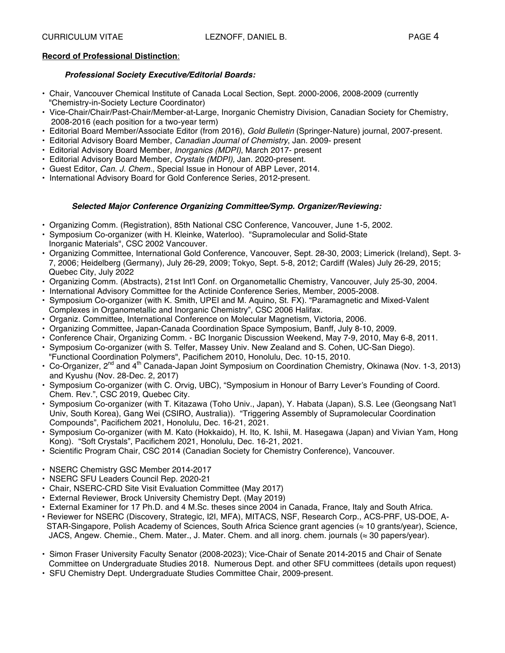# **Record of Professional Distinction**:

# *Professional Society Executive/Editorial Boards:*

- Chair, Vancouver Chemical Institute of Canada Local Section, Sept. 2000-2006, 2008-2009 (currently "Chemistry-in-Society Lecture Coordinator)
- Vice-Chair/Chair/Past-Chair/Member-at-Large, Inorganic Chemistry Division, Canadian Society for Chemistry, 2008-2016 (each position for a two-year term)
- Editorial Board Member/Associate Editor (from 2016), *Gold Bulletin* (Springer-Nature) journal, 2007-present.
- Editorial Advisory Board Member, *Canadian Journal of Chemistry*, Jan. 2009- present
- Editorial Advisory Board Member, *Inorganics (MDPI)*, March 2017- present
- Editorial Advisory Board Member, *Crystals (MDPI),* Jan. 2020-present.
- Guest Editor, *Can. J. Chem.*, Special Issue in Honour of ABP Lever, 2014.
- International Advisory Board for Gold Conference Series, 2012-present.

# *Selected Major Conference Organizing Committee/Symp. Organizer/Reviewing:*

- Organizing Comm. (Registration), 85th National CSC Conference, Vancouver, June 1-5, 2002.
- Symposium Co-organizer (with H. Kleinke, Waterloo). "Supramolecular and Solid-State Inorganic Materials", CSC 2002 Vancouver.
- Organizing Committee, International Gold Conference, Vancouver, Sept. 28-30, 2003; Limerick (Ireland), Sept. 3- 7, 2006; Heidelberg (Germany), July 26-29, 2009; Tokyo, Sept. 5-8, 2012; Cardiff (Wales) July 26-29, 2015; Quebec City, July 2022
- Organizing Comm. (Abstracts), 21st Int'l Conf. on Organometallic Chemistry, Vancouver, July 25-30, 2004.
- International Advisory Committee for the Actinide Conference Series, Member, 2005-2008.
- Symposium Co-organizer (with K. Smith, UPEI and M. Aquino, St. FX). "Paramagnetic and Mixed-Valent Complexes in Organometallic and Inorganic Chemistry", CSC 2006 Halifax.
- Organiz. Committee, International Conference on Molecular Magnetism, Victoria, 2006.
- Organizing Committee, Japan-Canada Coordination Space Symposium, Banff, July 8-10, 2009.
- Conference Chair, Organizing Comm. BC Inorganic Discussion Weekend, May 7-9, 2010, May 6-8, 2011.
- Symposium Co-organizer (with S. Telfer, Massey Univ. New Zealand and S. Cohen, UC-San Diego). "Functional Coordination Polymers", Pacifichem 2010, Honolulu, Dec. 10-15, 2010.
- Co-Organizer, 2<sup>nd</sup> and 4<sup>th</sup> Canada-Japan Joint Symposium on Coordination Chemistry, Okinawa (Nov. 1-3, 2013) and Kyushu (Nov. 28-Dec. 2, 2017)
- Symposium Co-organizer (with C. Orvig, UBC), "Symposium in Honour of Barry Lever's Founding of Coord. Chem. Rev.", CSC 2019, Quebec City.
- Symposium Co-organizer (with T. Kitazawa (Toho Univ., Japan), Y. Habata (Japan), S.S. Lee (Geongsang Nat'l Univ, South Korea), Gang Wei (CSIRO, Australia)). "Triggering Assembly of Supramolecular Coordination Compounds", Pacifichem 2021, Honolulu, Dec. 16-21, 2021.
- Symposium Co-organizer (with M. Kato (Hokkaido), H. Ito, K. Ishii, M. Hasegawa (Japan) and Vivian Yam, Hong Kong). "Soft Crystals", Pacifichem 2021, Honolulu, Dec. 16-21, 2021.
- Scientific Program Chair, CSC 2014 (Canadian Society for Chemistry Conference), Vancouver.
- NSERC Chemistry GSC Member 2014-2017
- NSERC SFU Leaders Council Rep. 2020-21
- Chair, NSERC-CRD Site Visit Evaluation Committee (May 2017)
- External Reviewer, Brock University Chemistry Dept. (May 2019)
- External Examiner for 17 Ph.D. and 4 M.Sc. theses since 2004 in Canada, France, Italy and South Africa.
- Reviewer for NSERC (Discovery, Strategic, I2I, MFA), MITACS, NSF, Research Corp., ACS-PRF, US-DOE, A- STAR-Singapore, Polish Academy of Sciences, South Africa Science grant agencies (≈ 10 grants/year), Science, JACS, Angew. Chemie., Chem. Mater., J. Mater. Chem. and all inorg. chem. journals (≈ 30 papers/year).
- Simon Fraser University Faculty Senator (2008-2023); Vice-Chair of Senate 2014-2015 and Chair of Senate Committee on Undergraduate Studies 2018. Numerous Dept. and other SFU committees (details upon request)
- SFU Chemistry Dept. Undergraduate Studies Committee Chair, 2009-present.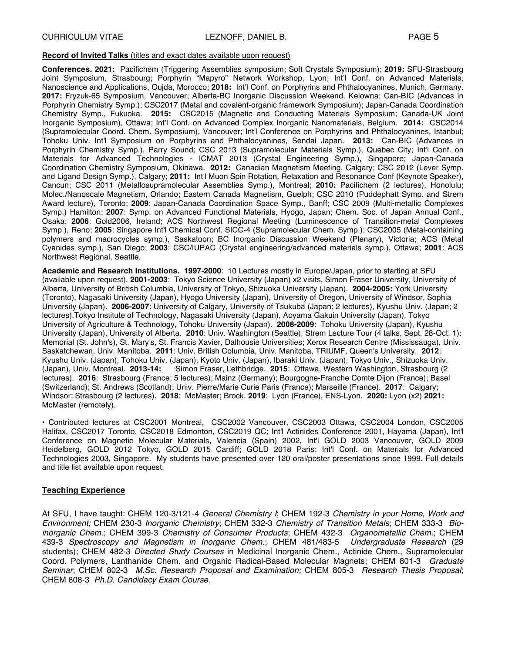#### **Record of Invited Talks** (titles and exact dates available upon request)

**Conferences. 2021:** Pacifichem (Triggering Assemblies symposium; Soft Crystals Symposium); **2019:** SFU-Strasbourg Joint Symposium, Strasbourg; Porphyrin "Mapyro" Network Workshop, Lyon; Int'l Conf. on Advanced Materials, Nanoscience and Applications, Oujda, Morocco; **2018:** Int'l Conf. on Porphyrins and Phthalocyanines, Munich, Germany. **2017:** Fryzuk-65 Symposium, Vancouver; Alberta-BC Inorganic Discussion Weekend, Kelowna; Can-BIC (Advances in Porphyrin Chemistry Symp.); CSC2017 (Metal and covalent-organic framework Symposium); Japan-Canada Coordination Chemistry Symp., Fukuoka. **2015:** CSC2015 (Magnetic and Conducting Materials Symposium; Canada-UK Joint Inorganic Symposium), Ottawa; Int'l Conf. on Advanced Complex Inorganic Nanomaterials, Belgium. **2014:** CSC2014 (Supramolecular Coord. Chem. Symposium), Vancouver; Int'l Conference on Porphyrins and Phthalocyanines, Istanbul; Tohoku Univ. Int'l Symposium on Porphyrins and Phthalocyanines, Sendai Japan. **2013:** Can-BIC (Advances in Porphyrin Chemistry Symp.), Parry Sound; CSC 2013 (Supramolecular Materials Symp.), Quebec City; Int'l Conf. on Materials for Advanced Technologies - ICMAT 2013 (Crystal Engineering Symp.), Singapore; Japan-Canada Coordination Chemistry Symposium, Okinawa. **2012:** Canadian Magnetism Meeting, Calgary; CSC 2012 (Lever Symp. and Ligand Design Symp.), Calgary; **2011:** Int'l Muon Spin Rotation, Relaxation and Resonance Conf (Keynote Speaker), Cancun; CSC 2011 (Metallosupramolecular Assemblies Symp.), Montreal; **2010:** Pacifichem (2 lectures), Honolulu; Molec./Nanoscale Magnetism, Orlando; Eastern Canada Magnetism, Guelph; CSC 2010 (Puddephatt Symp. and Strem Award lecture), Toronto; **2009**: Japan-Canada Coordination Space Symp., Banff; CSC 2009 (Multi-metallic Complexes Symp.) Hamilton; **2007**: Symp. on Advanced Functional Materials, Hyogo, Japan; Chem. Soc. of Japan Annual Conf., Osaka; **2006**: Gold2006, Ireland; ACS Northwest Regional Meeting (Luminescence of Transition-metal Complexes Symp.), Reno; **2005**: Singapore Int'l Chemical Conf. SICC-4 (Supramolecular Chem. Symp.); CSC2005 (Metal-containing polymers and macrocycles symp.), Saskatoon; BC Inorganic Discussion Weekend (Plenary), Victoria; ACS (Metal Cyanides symp.), San Diego; **2003**: CSC/IUPAC (Crystal engineering/advanced materials symp.), Ottawa; **2001**: ACS Northwest Regional, Seattle.

**Academic and Research Institutions. 1997-2000**: 10 Lectures mostly in Europe/Japan, prior to starting at SFU (available upon request). **2001-2003**: Tokyo Science University (Japan) x2 visits, Simon Fraser University, University of Alberta, University of British Columbia, University of Tokyo, Shizuoka University (Japan). **2004-2005:** York University (Toronto), Nagasaki University (Japan), Hyogo University (Japan), University of Oregon, University of Windsor, Sophia University (Japan). **2006-2007**: University of Calgary, University of Tsukuba (Japan; 2 lectures), Kyushu Univ. (Japan; 2 lectures),Tokyo Institute of Technology, Nagasaki University (Japan), Aoyama Gakuin University (Japan), Tokyo University of Agriculture & Technology, Tohoku University (Japan). **2008-2009**: Tohoku University (Japan), Kyushu University (Japan), University of Alberta. **2010**: Univ. Washington (Seattle), Strem Lecture Tour (4 talks, Sept. 28-Oct. 1): Memorial (St. John's), St. Mary's, St. Francis Xavier, Dalhousie Universities; Xerox Research Centre (Mississauga), Univ. Saskatchewan, Univ. Manitoba. **2011**: Univ. British Columbia, Univ. Manitoba, TRIUMF, Queen's University. **2012**: Kyushu Univ. (Japan), Tohoku Univ. (Japan), Kyoto Univ. (Japan), Ibaraki Univ. (Japan), Tokyo Univ., Shizuoka Univ.<br>(Japan), Univ. Montreal. 2013-14: Simon Fraser, Lethbridge. 2015: Ottawa, Western Washington, Strasbourg ( Simon Fraser, Lethbridge. **2015**: Ottawa, Western Washington, Strasbourg (2) lectures). **2016**: Strasbourg (France; 5 lectures); Mainz (Germany); Bourgogne-Franche Comte Dijon (France); Basel (Switzerland); St. Andrews (Scotland); Univ. Pierre/Marie Curie Paris (France); Marseille (France). **2017**: Calgary; Windsor; Strasbourg (2 lectures). **2018**: McMaster; Brock. **2019**: Lyon (France), ENS-Lyon. **2020:** Lyon (x2) **2021:** McMaster (remotely).

• Contributed lectures at CSC2001 Montreal, CSC2002 Vancouver, CSC2003 Ottawa, CSC2004 London, CSC2005 Halifax, CSC2017 Toronto, CSC2018 Edmonton, CSC2019 QC; Int'l Actinides Conference 2001, Hayama (Japan), Int'l Conference on Magnetic Molecular Materials, Valencia (Spain) 2002, Int'l GOLD 2003 Vancouver, GOLD 2009 Heidelberg, GOLD 2012 Tokyo, GOLD 2015 Cardiff; GOLD 2018 Paris; Int'l Conf. on Materials for Advanced Technologies 2003, Singapore. My students have presented over 120 oral/poster presentations since 1999. Full details and title list available upon request.

# **Teaching Experience**

At SFU, I have taught: CHEM 120-3/121-4 *General Chemistry I*; CHEM 192-3 *Chemistry in your Home, Work and Environment;* CHEM 230-3 *Inorganic Chemistry*; CHEM 332-3 *Chemistry of Transition Metals*; CHEM 333-3 *Bioinorganic Chem.*; CHEM 399-3 *Chemistry of Consumer Products*; CHEM 432-3 *Organometallic Chem.*; CHEM 439-3 *Spectroscopy and Magnetism in Inorganic Chem*.; CHEM 481/483-5 *Undergraduate Research* (29 students); CHEM 482-3 *Directed Study Courses* in Medicinal Inorganic Chem., Actinide Chem., Supramolecular Coord. Polymers, Lanthanide Chem. and Organic Radical-Based Molecular Magnets; CHEM 801-3 *Graduate Seminar*; CHEM 802-3 *M.Sc. Research Proposal and Examination;* CHEM 805-3 *Research Thesis Proposal*; CHEM 808-3 *Ph.D. Candidacy Exam Course*.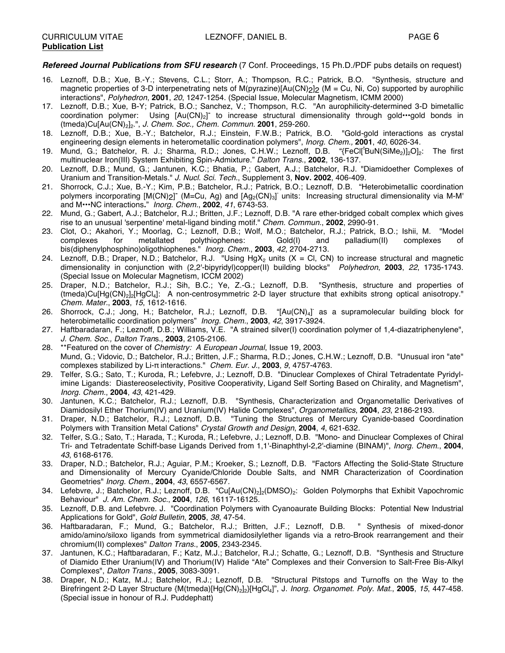#### *Refereed Journal Publications from SFU research* (7 Conf. Proceedings, 15 Ph.D./PDF pubs details on request)

- 16. Leznoff, D.B.; Xue, B.-Y.; Stevens, C.L.; Storr, A.; Thompson, R.C.; Patrick, B.O. "Synthesis, structure and magnetic properties of 3-D interpenetrating nets of M(pyrazine)[Au(CN)<sub>2</sub>]<sub>2</sub> (M = Cu, Ni, Co) supported by aurophilic interactions", *Polyhedron*, **2001**, *20*, 1247-1254. (Special Issue, Molecular Magnetism, ICMM 2000)
- 17. Leznoff, D.B.; Xue, B-Y; Patrick, B.O.; Sanchez, V.; Thompson, R.C. "An aurophilicity-determined 3-D bimetallic coordination polymer: Using [Au(CN)<sub>2</sub>] to increase structural dimensionality through gold•••gold bonds in (tmeda)Cu[Au(CN)2]2.", *J. Chem. Soc., Chem. Commun.* **2001**, 259-260.
- 18. Leznoff, D.B.; Xue, B.-Y.; Batchelor, R.J.; Einstein, F.W.B.; Patrick, B.O. "Gold-gold interactions as crystal engineering design elements in heterometallic coordination polymers", *Inorg. Chem.,* **2001**, *40*, 6026-34*.*
- 19. Mund, G.; Batchelor, R. J.; Sharma, R.D.; Jones, C.H.W.; Leznoff, D.B. "{FeCl['BuN(SiMe<sub>2</sub>)]<sub>2</sub>O]<sub>2</sub>: The first multinuclear Iron(III) System Exhibiting Spin-Admixture." *Dalton Trans.*, **2002**, 136-137.
- 20. Leznoff, D.B.; Mund, G.; Jantunen, K.C.; Bhatia, P.; Gabert, A.J.; Batchelor, R.J. "Diamidoether Complexes of Uranium and Transition-Metals." *J. Nucl. Sci. Tech.*, Supplement 3, **Nov. 2002**, 406-409.
- 21. Shorrock, C.J.; Xue, B.-Y.; Kim, P.B.; Batchelor, R.J.; Patrick, B.O.; Leznoff, D.B. "Heterobimetallic coordination polymers incorporating [M(CN)<sub>2</sub>]<sup>-</sup> (M=Cu, Ag) and [Ag<sub>2</sub>(CN)<sub>3</sub>] units: Increasing structural dimensionality via M-M' and M•••NC interactions**.**" *Inorg. Chem.*, **2002**, *41*, 6743-53.
- 22. Mund, G.; Gabert, A.J.; Batchelor, R.J.; Britten, J.F.; Leznoff, D.B. "A rare ether-bridged cobalt complex which gives rise to an unusual 'serpentine' metal-ligand binding motif." *Chem. Commun.*, **2002**, 2990-91.
- 23. Clot, O.; Akahori, Y.; Moorlag, C.; Leznoff, D.B.; Wolf, M.O.; Batchelor, R.J.; Patrick, B.O.; Ishii, M. "Model for metallated polythiophenes: Gold(I) and palladium(II) complexes of bis(diphenylphosphino)oligothiophenes." *Inorg. Chem.*, **2003**, *42*, 2704-2713.
- 24. Leznoff, D.B.; Draper, N.D.; Batchelor, R.J. "Using HgX<sub>2</sub> units (X = Cl, CN) to increase structural and magnetic dimensionality in conjunction with (2,2'-bipyridyl)copper(II) building blocks" *Polyhedron*, **2003**, *22*, 1735-1743. (Special Issue on Molecular Magnetism, ICCM 2002)
- 25. Draper, N.D.; Batchelor, R.J.; Sih, B.C.; Ye, Z.-G.; Leznoff, D.B. "Synthesis, structure and properties of (tmeda)Cu[Hg(CN)2]2[HgCl4]: A non-centrosymmetric 2-D layer structure that exhibits strong optical anisotropy." *Chem. Mater.*, **2003**, *15*, 1612-1616.
- 26. Shorrock, C.J.; Jong, H.; Batchelor, R.J.; Leznoff, D.B. "[Au(CN)<sub>4</sub>] as a supramolecular building block for heterobimetallic coordination polymers" *Inorg. Chem.*, **2003**, *42*, 3917-3924.
- 27. Haftbaradaran, F.; Leznoff, D.B.; Williams, V.E. "A strained silver(I) coordination polymer of 1,4-diazatriphenylene", *J. Chem. Soc., Dalton Tran*s., **2003**, 2105-2106.
- 28. \*\*Featured on the cover of *Chemistry: A European Journal*, Issue 19, 2003. Mund, G.; Vidovic, D.; Batchelor, R.J.; Britten, J.F.; Sharma, R.D.; Jones, C.H.W.; Leznoff, D.B. "Unusual iron "ate" complexes stabilized by Li-π interactions." *Chem. Eur. J.*, **2003**, *9*, 4757-4763.
- 29. Telfer, S.G.; Sato, T.; Kuroda, R.; Lefebvre, J.; Leznoff, D.B. "Dinuclear Complexes of Chiral Tetradentate Pyridylimine Ligands: Diastereoselectivity, Positive Cooperativity, Ligand Self Sorting Based on Chirality, and Magnetism", *Inorg. Chem.*, **2004**, *43*, 421-429.
- 30. Jantunen, K.C.; Batchelor, R.J.; Leznoff, D.B. "Synthesis, Characterization and Organometallic Derivatives of Diamidosilyl Ether Thorium(IV) and Uranium(IV) Halide Complexes", *Organometallics*, **2004**, *23*, 2186-2193.
- 31. Draper, N.D.; Batchelor, R.J.; Leznoff, D.B. "Tuning the Structures of Mercury Cyanide-based Coordination Polymers with Transition Metal Cations" *Crystal Growth and Design*, **2004**, *4*, 621-632*.*
- 32. Telfer, S.G.; Sato, T.; Harada, T.; Kuroda, R.; Lefebvre, J.; Leznoff, D.B. "Mono- and Dinuclear Complexes of Chiral Tri- and Tetradentate Schiff-base Ligands Derived from 1,1'-Binaphthyl-2,2'-diamine (BINAM)", *Inorg. Chem*., **2004**, *43*, 6168-6176.
- 33. Draper, N.D.; Batchelor, R.J.; Aguiar, P.M.; Kroeker, S.; Leznoff, D.B. "Factors Affecting the Solid-State Structure and Dimensionality of Mercury Cyanide/Chloride Double Salts, and NMR Characterization of Coordination Geometries" *Inorg. Chem.*, **2004**, *43*, 6557-6567*.*
- 34. Lefebvre, J.; Batchelor, R.J.; Leznoff, D.B. "Cu[Au(CN)<sub>2</sub>]<sub>2</sub>(DMSO)<sub>2</sub>: Golden Polymorphs that Exhibit Vapochromic Behaviour" *J. Am. Chem. Soc.*, **2004**, *126*, 16117-16125.
- 35. Leznoff, D.B. and Lefebvre. J. "Coordination Polymers with Cyanoaurate Building Blocks: Potential New Industrial Applications for Gold", *Gold Bulletin*, **2005**, *38*, 47-54.
- 36. Haftbaradaran, F.; Mund, G.; Batchelor, R.J.; Britten, J.F.; Leznoff, D.B. " Synthesis of mixed-donor amido/amino/siloxo ligands from symmetrical diamidosilylether ligands via a retro-Brook rearrangement and their chromium(II) complexes" *Dalton Trans.*, **2005**, 2343-2345.
- 37. Jantunen, K.C.; Haftbaradaran, F.; Katz, M.J.; Batchelor, R.J.; Schatte, G.; Leznoff, D.B. "Synthesis and Structure of Diamido Ether Uranium(IV) and Thorium(IV) Halide "Ate" Complexes and their Conversion to Salt-Free Bis-Alkyl Complexes", *Dalton Trans.*, **2005**, 3083-3091.
- 38. Draper, N.D.; Katz, M.J.; Batchelor, R.J.; Leznoff, D.B. "Structural Pitstops and Turnoffs on the Way to the Birefringent 2-D Layer Structure {M(tmeda)[Hg(CN)2]2}[HgCl4]", J. *Inorg. Organomet. Poly. Mat.*, **2005**, *15*, 447-458. (Special issue in honour of R.J. Puddephatt)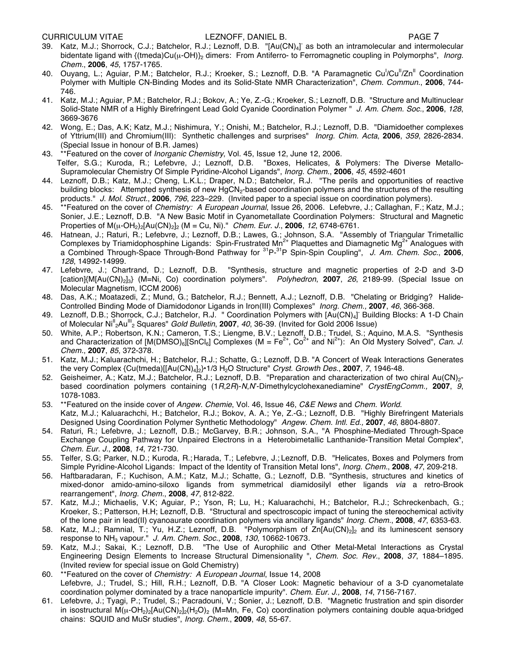CURRICULUM VITAE LEZNOFF, DANIEL B. PAGE 7

- 39. Katz, M.J.; Shorrock, C.J.; Batchelor, R.J.; Leznoff, D.B. "[Au(CN)<sub>4</sub>] as both an intramolecular and intermolecular bidentate ligand with {(tmeda)Cu( $\mu$ -OH)}<sub>2</sub> dimers: From Antiferro- to Ferromagnetic coupling in Polymorphs", *Inorg. Chem.*, **2006**, *45*, 1757-1765.
- 40. Ouyang, L.; Aguiar, P.M.; Batchelor, R.J.; Kroeker, S.; Leznoff, D.B. "A Paramagnetic Cu<sup>l</sup>/Cu<sup>ll</sup>/Zn<sup>ll</sup> Coordination Polymer with Multiple CN-Binding Modes and its Solid-State NMR Characterization", *Chem. Commun.*, **2006**, 744- 746.
- 41. Katz, M.J.; Aguiar, P.M.; Batchelor, R.J.; Bokov, A.; Ye, Z.-G.; Kroeker, S.; Leznoff, D.B. "Structure and Multinuclear Solid-State NMR of a Highly Birefringent Lead Gold Cyanide Coordination Polymer " *J. Am. Chem. Soc.*, **2006**, *128*, 3669-3676
- 42. Wong, E.; Das, A.K; Katz, M.J.; Nishimura, Y.; Onishi, M.; Batchelor, R.J.; Leznoff, D.B. "Diamidoether complexes of Yttrium(III) and Chromium(III): Synthetic challenges and surprises" *Inorg. Chim. Acta*, **2006**, *359*, 2826-2834. (Special Issue in honour of B.R. James)
- 43. \*\*Featured on the cover of *Inorganic Chemistry*, Vol. 45, Issue 12, June 12, 2006. Telfer, S.G.; Kuroda, R.; Lefebvre, J.; Leznoff, D.B. "Boxes, Helicates, & Polymers: The Diverse Metallo-Supramolecular Chemistry Of Simple Pyridine-Alcohol Ligands", *Inorg. Chem*., **2006**, *45*, 4592-4601
- 44. Leznoff, D.B.; Katz, M.J.; Cheng, L.K.L.; Draper, N.D.; Batchelor, R.J. "The perils and opportunities of reactive building blocks: Attempted synthesis of new HgCN<sub>2</sub>-based coordination polymers and the structures of the resulting products." *J. Mol. Struct.*, **2006**, *796*, 223–229. (Invited paper to a special issue on coordination polymers).
- 45. \*\*Featured on the cover of *Chemistry: A European Journal*, Issue 26, 2006. Lefebvre, J.; Callaghan, F.; Katz, M.J.; Sonier, J.E.; Leznoff, D.B. "A New Basic Motif in Cyanometallate Coordination Polymers: Structural and Magnetic Properties of M(µ-OH2)2[Au(CN)2]2 (M = Cu, Ni)." *Chem. Eur. J.*, **2006**, *12*, 6748-6761.
- 46. Hatnean, J.; Raturi, R.; Lefebvre, J.; Leznoff, D.B.; Lawes, G.; Johnson, S.A. "Assembly of Triangular Trimetallic Complexes by Triamidophosphine Ligands: Spin-Frustrated Mn<sup>2+</sup> Plaquettes and Diamagnetic Mg<sup>2+</sup> Analogues with a Combined Through-Space Through-Bond Pathway for 31P-31P Spin-Spin Coupling", *J. Am. Chem. Soc.*, **2006**, *128*, 14992-14999.
- 47. Lefebvre, J.; Chartrand, D.; Leznoff, D.B. "Synthesis, structure and magnetic properties of 2-D and 3-D [cation]{M[Au(CN)2]3} (M=Ni, Co) coordination polymers". *Polyhedron*, **2007**, *26*, 2189-99. (Special Issue on Molecular Magnetism, ICCM 2006)
- 48. Das, A.K.; Moatazedi, Z.; Mund, G.; Batchelor, R.J.; Bennett, A.J.; Leznoff, D.B. "Chelating or Bridging? Halide-Controlled Binding Mode of Diamidodonor Ligands in Iron(III) Complexes" *Inorg. Chem.,* **2007**, *46*, 366-368*.*
- 49. Leznoff, D.B.; Shorrock, C.J.; Batchelor, R.J. " Coordination Polymers with [Au(CN)<sub>4</sub>] Building Blocks: A 1-D Chain of Molecular Ni<sup>ll</sup><sub>2</sub>Au<sup>lll</sup><sub>2</sub> Squares" *Gold Bulletin*, 2007, 40, 36-39. (Invited for Gold 2006 Issue)
- 50. White, A.P.; Robertson, K.N.; Cameron, T.S.; Liengme, B.V.; Leznoff, D.B.; Trudel, S.; Aquino, M.A.S. "Synthesis and Characterization of  $[M(DMSO)_6][SnCl_6]$  Complexes (M = Fe<sup>2+</sup>, Co<sup>2+</sup> and Ni<sup>2+</sup>): An Old Mystery Solved", *Can. J. Chem.*, **2007**, *85*, 372-378.
- 51. Katz, M.J.; Kaluarachchi, H.; Batchelor, R.J.; Schatte, G.; Leznoff, D.B. "A Concert of Weak Interactions Generates the very Complex {Cu(tmeda)[[Au(CN)4]2}•1/3 H2O Structure" *Cryst. Growth Des.*, **2007**, *7*, 1946-48.
- 52. Geisheimer, A.; Katz, M.J.; Batchelor, R.J.; Leznoff, D.B. "Preparation and characterization of two chiral Au(CN)<sub>2</sub>based coordination polymers containing (1*R*,2*R*)-*N*,*N*'-Dimethylcyclohexanediamine" *CrystEngComm.,* **2007**, *9*, 1078-1083*.*
- 53. \*\*Featured on the inside cover of *Angew. Chemie*, Vol. 46, Issue 46, *C&E News* and *Chem. World*. Katz, M.J.; Kaluarachchi, H.; Batchelor, R.J.; Bokov, A. A.; Ye, Z.-G.; Leznoff, D.B. "Highly Birefringent Materials Designed Using Coordination Polymer Synthetic Methodology" *Angew. Chem. Intl. Ed.,* **2007**, *46*, 8804-8807.
- 54. Raturi, R.; Lefebvre, J.; Leznoff, D.B.; McGarvey, B.R.; Johnson, S.A., "A Phosphine-Mediated Through-Space Exchange Coupling Pathway for Unpaired Electrons in a Heterobimetallic Lanthanide-Transition Metal Complex", *Chem. Eur. J.*, **2008**, *14*, 721-730.
- 55. Telfer, S.G; Parker, N.D.; Kuroda, R.; Harada, T.; Lefebvre, J.; Leznoff, D.B. "Helicates, Boxes and Polymers from Simple Pyridine-Alcohol Ligands: Impact of the Identity of Transition Metal Ions", *Inorg. Chem.*, **2008**, *47*, 209-218.
- 56. Haftbaradaran, F.; Kuchison, A.M.; Katz, M.J.; Schatte, G.; Leznoff, D.B. "Synthesis, structures and kinetics of mixed-donor amido-amino-siloxo ligands from symmetrical diamidosilyl ether ligands *via* a retro-Brook rearrangement", *Inorg. Chem.*, **2008**, *47*, 812-822.
- 57. Katz, M.J.; Michaelis, V.K; Aguiar, P.; Yson, R; Lu, H.; Kaluarachchi, H.; Batchelor, R.J.; Schreckenbach, G.; Kroeker, S.; Patterson, H.H; Leznoff, D.B. "Structural and spectroscopic impact of tuning the stereochemical activity of the lone pair in lead(II) cyanoaurate coordination polymers via ancillary ligands" *Inorg. Chem.*, **2008**, *47*, 6353-63.
- 58. Katz, M.J.; Ramnial, T.; Yu, H.Z.; Leznoff, D.B. "Polymorphism of Zn[Au(CN)<sub>2</sub>]<sub>2</sub> and its luminescent sensory response to NH3 vapour." *J. Am. Chem. Soc.*, **2008**, *130*, 10662-10673*.*
- 59. Katz, M.J.; Sakai, K.; Leznoff, D.B. "The Use of Aurophilic and Other Metal-Metal Interactions as Crystal Engineering Design Elements to Increase Structural Dimensionality ", *Chem. Soc. Rev.*, **2008**, *37*, 1884–1895. (Invited review for special issue on Gold Chemistry)
- 60. \*\*Featured on the cover of *Chemistry: A European Journal*, Issue 14, 2008 Lefebvre, J.; Trudel, S.; Hill, R.H.; Leznoff, D.B. "A Closer Look: Magnetic behaviour of a 3-D cyanometalate coordination polymer dominated by a trace nanoparticle impurity". *Chem. Eur. J.,* **2008**, *14*, 7156-7167.
- 61. Lefebvre, J.; Tyagi, P.; Trudel, S.; Pacradouni, V.; Sonier, J.; Leznoff, D.B. "Magnetic frustration and spin disorder in isostructural  $M(\mu$ -OH<sub>2</sub>)<sub>2</sub>[Au(CN)<sub>2</sub>]<sub>2</sub>(H<sub>2</sub>O)<sub>2</sub> (M=Mn, Fe, Co) coordination polymers containing double aqua-bridged chains: SQUID and MuSr studies", *Inorg. Chem.*, **2009**, *48*, 55-67.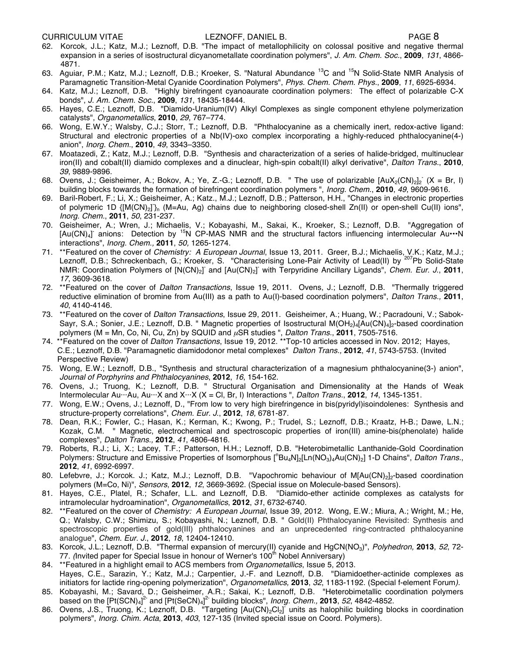- 62. Korcok, J.L.; Katz, M.J.; Leznoff, D.B. "The impact of metallophilicity on colossal positive and negative thermal expansion in a series of isostructural dicyanometallate coordination polymers", *J. Am. Chem. Soc.*, **2009**, *131*, 4866- 4871.
- 63. Aguiar, P.M.; Katz, M.J.; Leznoff, D.B.; Kroeker, S. "Natural Abundance<sup>13</sup>C and <sup>15</sup>N Solid-State NMR Analysis of Paramagnetic Transition-Metal Cyanide Coordination Polymers", *Phys. Chem. Chem. Phys.*, **2009**, *11*, 6925-6934*.*
- 64. Katz, M.J.; Leznoff, D.B. "Highly birefringent cyanoaurate coordination polymers: The effect of polarizable C-X bonds", *J. Am. Chem. Soc.*, **2009**, *131*, 18435-18444.
- 65. Hayes, C.E.; Leznoff, D.B. "Diamido-Uranium(IV) Alkyl Complexes as single component ethylene polymerization catalysts", *Organometallics*, **2010**, *29*, 767–774.
- 66. Wong, E.W.Y.; Walsby, C.J.; Storr, T.; Leznoff, D.B. "Phthalocyanine as a chemically inert, redox-active ligand: Structural and electronic properties of a Nb(IV)-oxo complex incorporating a highly-reduced phthalocyanine(4-) anion", *Inorg. Chem.*, **2010**, *49*, 3343–3350.
- 67. Moatazedi, Z.; Katz, M.J.; Leznoff, D.B. "Synthesis and characterization of a series of halide-bridged, multinuclear iron(II) and cobalt(II) diamido complexes and a dinuclear, high-spin cobalt(II) alkyl derivative", *Dalton Trans.*, **2010**, *39*, 9889-9896.
- 68. Ovens, J.; Geisheimer, A.; Bokov, A.; Ye, Z.-G.; Leznoff, D.B. " The use of polarizable  $[AuX_2(CN)_2]_2$  (X = Br, I) building blocks towards the formation of birefringent coordination polymers ", *Inorg. Chem.*, **2010**, *49*, 9609-9616.
- 69. Baril-Robert, F.; Li, X.; Geisheimer, A.; Katz., M.J.; Leznoff, D.B.; Patterson, H.H., "Changes in electronic properties of polymeric 1D {[M(CN)<sub>2</sub>]}<sub>n</sub> (M=Au, Ag) chains due to neighboring closed-shell Zn(II) or open-shell Cu(II) ions", *Inorg. Chem.*, **2011**, *50*, 231-237.
- 70. Geisheimer, A.; Wren, J.; Michaelis, V.; Kobayashi, M., Sakai, K., Kroeker, S.; Leznoff, D.B. "Aggregation of [Au(CN)<sub>4</sub>] anions: Detection by <sup>15</sup>N CP-MAS NMR and the structural factors influencing intermolecular Au $\cdots$ N interactions", *Inorg. Chem*.*,* **2011**, *50,* 1265-1274.
- 71. \*\*Featured on the cover of *Chemistry: A European Journal*, Issue 13, 2011. Greer, B.J.; Michaelis, V.K.; Katz, M.J.; Leznoff, D.B.; Schreckenbach, G.; Kroeker, S. "Characterising Lone-Pair Activity of Lead(II) by <sup>207</sup>Pb Solid-State NMR: Coordination Polymers of [N(CN)<sub>2</sub>] and [Au(CN)<sub>2</sub>] with Terpyridine Ancillary Ligands", *Chem. Eur. J.*, 2011, *17*, 3609-3618.
- 72. \*\*Featured on the cover of *Dalton Transactions*, Issue 19, 2011. Ovens, J.; Leznoff, D.B. "Thermally triggered reductive elimination of bromine from Au(III) as a path to Au(I)-based coordination polymers", *Dalton Trans.,* **2011**, *40*, 4140-4146.
- 73. \*\*Featured on the cover of *Dalton Transactions*, Issue 29, 2011. Geisheimer, A.; Huang, W.; Pacradouni, V.; Sabok-Sayr, S.A.; Sonier, J.E.; Leznoff, D.B. " Magnetic properties of Isostructural M(OH<sub>2</sub>)4[Au(CN)<sub>4</sub>]<sub>2</sub>-based coordination polymers (M = Mn, Co, Ni, Cu, Zn) by SQUID and µSR studies ", *Dalton Trans.*, **2011**, 7505-7516.
- 74. \*\*Featured on the cover of *Dalton Transactions*, Issue 19, 2012. \*\*Top-10 articles accessed in Nov. 2012; Hayes, C.E.; Leznoff, D.B. "Paramagnetic diamidodonor metal complexes" *Dalton Trans.,* **2012**, *41*, 5743-5753. (Invited Perspective Review)
- 75. Wong, E.W.; Leznoff, D.B., "Synthesis and structural characterization of a magnesium phthalocyanine(3-) anion", *Journal of Porphyrins and Phthalocyanines*, **2012**, *16*, 154-162.
- 76. Ovens, J.; Truong, K.; Leznoff, D.B. " Structural Organisation and Dimensionality at the Hands of Weak Intermolecular Au···Au, Au···X and X···X (X = Cl, Br, I) Interactions ", *Dalton Trans.*, **2012**, *14*, 1345-1351.
- 77. Wong, E.W.; Ovens, J.; Leznoff, D., "From low to very high birefringence in bis(pyridyl)isoindolenes: Synthesis and structure-property correlations", *Chem. Eur. J.*, **2012**, *18,* 6781-87.
- 78. Dean, R.K.; Fowler, C.; Hasan, K.; Kerman, K.; Kwong, P.; Trudel, S.; Leznoff, D.B.; Kraatz, H-B.; Dawe, L.N.; Kozak, C.M. " Magnetic, electrochemical and spectroscopic properties of iron(III) amine-bis(phenolate) halide complexes", *Dalton Trans.,* **2012**, *41*, 4806-4816.
- 79. Roberts, R.J.; Li, X.; Lacey, T.F.; Patterson, H.H.; Leznoff, D.B. "Heterobimetallic Lanthanide-Gold Coordination Polymers: Structure and Emissive Properties of Isomorphous [<sup>n</sup>Bu<sub>4</sub>N]<sub>2</sub>[Ln(NO<sub>3</sub>)<sub>4</sub>Au(CN)<sub>2</sub>] 1-D Chains", *Dalton Trans.*, **2012**, *41*, 6992-6997.
- 80. Lefebvre, J.; Korcok. J.; Katz, M.J.; Leznoff, D.B. "Vapochromic behaviour of M[Au(CN)<sub>2</sub>]<sub>2</sub>-based coordination polymers (M=Co, Ni)", *Sensors*, **2012**, *12*, 3669-3692. (Special issue on Molecule-based Sensors).
- 81. Hayes, C.E., Platel, R.; Schafer, L.L. and Leznoff, D.B. "Diamido-ether actinide complexes as catalysts for intramolecular hydroamination", *Organometallics*, **2012**, *31*, 6732-6740.
- 82. \*\*Featured on the cover of *Chemistry: A European Journal*, Issue 39, 2012. Wong, E.W.; Miura, A.; Wright, M.; He, Q.; Walsby, C.W.; Shimizu, S.; Kobayashi, N.; Leznoff, D.B. " Gold(II) Phthalocyanine Revisited: Synthesis and spectroscopic properties of gold(III) phthalocyanines and an unprecedented ring-contracted phthalocyanine analogue", *Chem. Eur. J.*, **2012**, *18*, 12404-12410.
- 83. Korcok, J.L.; Leznoff, D.B. "Thermal expansion of mercury(II) cyanide and HgCN(NO3)", *Polyhedron,* **2013**, *52*, 72- 77. *(Invited paper for Special Issue in honour of Werner's 100<sup>th</sup> Nobel Anniversary)*
- 84. \*\*Featured in a highlight email to ACS members from *Organometallics*, Issue 5, 2013. Hayes, C.E., Sarazin, Y.; Katz, M.J.; Carpentier, J.-F. and Leznoff, D.B. "Diamidoether-actinide complexes as initiators for lactide ring-opening polymerization", *Organometallics,* **2013**, *32*, 1183-1192. (Special f-element Forum*).*
- 85. Kobayashi, M.; Savard, D.; Geisheimer, A.R.; Sakai, K.; Leznoff, D.B. "Heterobimetallic coordination polymers based on the [Pt(SCN)<sub>4</sub>]<sup>2-</sup> and [Pt(SeCN)<sub>4</sub>]<sup>2-</sup> building blocks", *Inorg. Chem.*, **2013**, 52, 4842-4852.
- 86. Ovens, J.S., Truong, K.; Leznoff, D.B. "Targeting [Au(CN)<sub>2</sub>Cl<sub>2</sub>] units as halophilic building blocks in coordination polymers", *Inorg. Chim. Acta*, **2013**, *403*, 127-135 (Invited special issue on Coord. Polymers).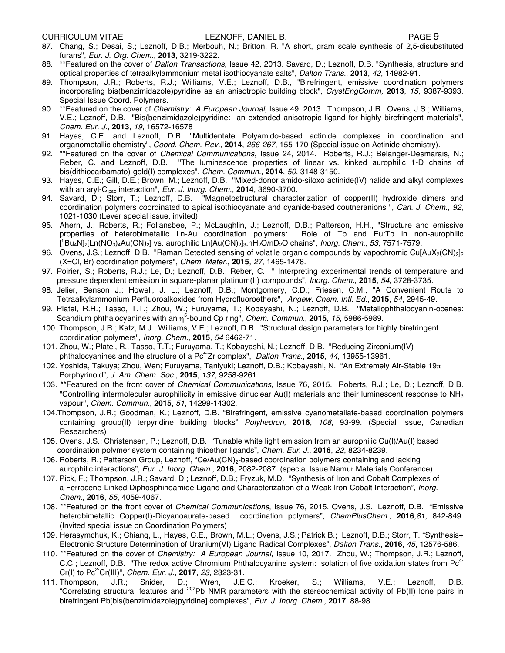#### CURRICULUM VITAE LEZNOFF, DANIEL B. PAGE 9

- 87. Chang, S.; Desai, S.; Leznoff, D.B.; Merbouh, N.; Britton, R. "A short, gram scale synthesis of 2,5-disubstituted furans", *Eur. J. Org. Chem.*, **2013**, 3219-3222.
- 88. \*\*Featured on the cover of *Dalton Transactions*, Issue 42, 2013. Savard, D.; Leznoff, D.B. "Synthesis, structure and optical properties of tetraalkylammonium metal isothiocyanate salts", *Dalton Trans.*, **2013**, *42*, 14982-91.
- 89. Thompson, J.R.; Roberts, R.J.; Williams, V.E.; Leznoff, D.B., "Birefringent, emissive coordination polymers incorporating bis(benzimidazole)pyridine as an anisotropic building block", *CrystEngComm,* **2013**, *15*, 9387-9393. Special Issue Coord. Polymers.
- 90. \*\*Featured on the cover of *Chemistry: A European Journal*, Issue 49, 2013. Thompson, J.R.; Ovens, J.S.; Williams, V.E.; Leznoff, D.B. "Bis(benzimidazole)pyridine: an extended anisotropic ligand for highly birefringent materials", *Chem. Eur. J.*, **2013**, *19*, 16572-16578
- 91. Hayes, C.E. and Leznoff, D.B. "Multidentate Polyamido-based actinide complexes in coordination and organometallic chemistry", *Coord. Chem. Rev.*, **2014**, *266-267*, 155-170 (Special issue on Actinide chemistry).
- 92. \*\*Featured on the cover of *Chemical Communications*, Issue 24, 2014. Roberts, R.J.; Belanger-Desmarais, N.; Reber, C. and Leznoff, D.B. "The luminescence properties of linear vs. kinked aurophilic 1-D chains of bis(dithiocarbamato)-gold(I) complexes", *Chem. Commun.*, **2014**, *50*, 3148-3150.
- 93. Hayes, C.E.; Gill, D.E.; Brown, M.; Leznoff, D.B. "Mixed-donor amido-siloxo actinide(IV) halide and alkyl complexes with an aryl-Cipso interaction", *Eur. J. Inorg. Chem.*, **2014**, 3690-3700.
- 94. Savard, D.; Storr, T.; Leznoff, D.B. "Magnetostructural characterization of copper(II) hydroxide dimers and coordination polymers coordinated to apical isothiocyanate and cyanide-based coutneranions ", *Can. J. Chem.*, *92*, 1021-1030 (Lever special issue, invited)*.*
- 95. Ahern, J.; Roberts, R.; Follansbee, P.; McLaughlin, J.; Leznoff, D.B.; Patterson, H.H., "Structure and emissive properties of heterobimetallic Ln-Au coordination polymers: Role of Tb and Eu:Tb in non-aurophilic [ n Bu4N]2[Ln(NO3)4Au(CN)2] vs. aurophilic Ln[Au(CN)2]3.nH2O/nD2O chains", *Inorg. Chem.*, *53*, 7571-7579.
- 96. Ovens, J.S.; Leznoff, D.B. "Raman Detected sensing of volatile organic compounds by vapochromic Cu[AuX<sub>2</sub>(CN)<sub>2</sub>]<sub>2</sub> (X=Cl, Br) coordination polymers", *Chem. Mater.*, **2015**, *27*, 1465-1478.
- 97. Poirier, S.; Roberts, R.J.; Le, D.; Leznoff, D.B.; Reber, C. " Interpreting experimental trends of temperature and pressure dependent emission in square-planar platinum(II) compounds", *Inorg. Chem.*, **2015**, *54*, 3728-3735.
- 98. Jelier, Benson J.; Howell, J. L.; Leznoff, D.B.; Montgomery, C.D.; Friesen, C.M., "A Convenient Route to Tetraalkylammonium Perfluoroalkoxides from Hydrofluoroethers", *Angew. Chem. Intl. Ed.*, **2015**, *54*, 2945-49.
- 99. Platel, R.H.; Tasso, T.T.; Zhou, W.; Furuyama, T.; Kobayashi, N.; Leznoff, D.B. "Metallophthalocyanin-ocenes: Scandium phthalocyanines with an η<sup>5</sup>-bound Cp ring", *Chem. Commun.*, 2015, 15, 5986-5989.
- 100 Thompson, J.R.; Katz, M.J.; Williams, V.E.; Leznoff, D.B. "Structural design parameters for highly birefringent coordination polymers", *Inorg. Chem.*, **2015**, *54* 6462-71.
- 101. Zhou, W.; Platel, R., Tasso, T.T.; Furuyama, T.; Kobayashi, N.; Leznoff, D.B. "Reducing Zirconium(IV) phthalocyanines and the structure of a Pc<sup>4-</sup>Zr complex", *Dalton Trans.*, 2015, 44, 13955-13961.
- 102. Yoshida, Takuya; Zhou, Wen; Furuyama, Taniyuki; Leznoff, D.B.; Kobayashi, N. "An Extremely Air-Stable 19 $\pi$ Porphyrinoid", *J. Am. Chem. Soc*., **2015**, *137*, 9258-9261.
- 103. \*\*Featured on the front cover of *Chemical Communications*, Issue 76, 2015. Roberts, R.J.; Le, D.; Leznoff, D.B. "Controlling intermolecular aurophilicity in emissive dinuclear Au(I) materials and their luminescent response to  $NH<sub>3</sub>$ vapour", *Chem. Commun.*, **2015**, *51*, 14299-14302.
- 104.Thompson, J.R.; Goodman, K.; Leznoff, D.B. "Birefringent, emissive cyanometallate-based coordination polymers containing group(II) terpyridine building blocks" *Polyhedron,* **2016**, *108*, 93-99. (Special Issue, Canadian Researchers)
- 105. Ovens, J.S.; Christensen, P.; Leznoff, D.B. "Tunable white light emission from an aurophilic Cu(I)/Au(I) based coordination polymer system containing thioether ligands", *Chem. Eur. J.,* **2016**, *22*, 8234-8239.
- 106. Roberts, R.; Patterson Group, Leznoff, "Ce/Au(CN)<sub>2</sub>-based coordination polymers containing and lacking aurophilic interactions", *Eur. J. Inorg. Chem.*, **2016**, 2082-2087. (special Issue Namur Materials Conference)
- 107. Pick, F.; Thompson, J.R.; Savard, D.; Leznoff, D.B.; Fryzuk, M.D. "Synthesis of Iron and Cobalt Complexes of a Ferrocene-Linked Diphosphinoamide Ligand and Characterization of a Weak Iron-Cobalt Interaction", *Inorg. Chem.,* **2016**, *55*, 4059-4067.
- 108. \*\*Featured on the front cover of *Chemical Communications*, Issue 76, 2015. Ovens, J.S., Leznoff, D.B. "Emissive heterobimetallic Copper(I)-Dicyanoaurate-based coordination polymers", *ChemPlusChem*.*,* **2016***,81*, 842-849. (Invited special issue on Coordination Polymers)
- 109. Herasymchuk, K.; Chiang, L., Hayes, C.E., Brown, M.L.; Ovens, J.S.; Patrick B.; Leznoff, D.B.; Storr, T. "Synthesis+ Electronic Structure Determination of Uranium(VI) Ligand Radical Complexes", *Dalton Trans.*, **2016**, *45*, 12576-586.
- 110. \*\*Featured on the cover of *Chemistry: A European Journal*, Issue 10, 2017. Zhou, W.; Thompson, J.R.; Leznoff, C.C.; Leznoff, D.B. "The redox active Chromium Phthalocyanine system: Isolation of five oxidation states from  $Pe<sup>4</sup>$ Cr(I) to Pc2- Cr(III)", *Chem. Eur. J.,* **2017**, *23*, 2323-31.
- 111. Thompson, J.R.; Snider, D.; Wren, J.E.C.; Kroeker, S.; Williams, V.E.; Leznoff, D.B. "Correlating structural features and <sup>207</sup>Pb NMR parameters with the stereochemical activity of Pb(II) lone pairs in birefringent Pb[bis(benzimidazole)pyridine] complexes", *Eur. J. Inorg. Chem.,* **2017**, 88-98.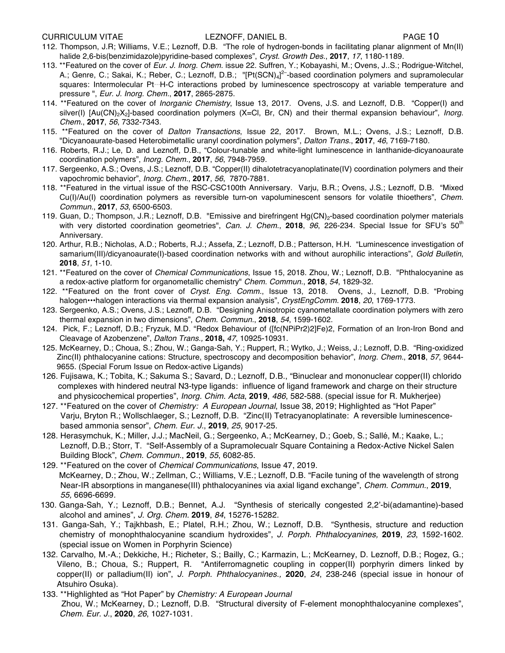- 112. Thompson, J.R; Williams, V.E.; Leznoff, D.B. "The role of hydrogen-bonds in facilitating planar alignment of Mn(II) halide 2,6-bis(benzimidazole)pyridine-based complexes", *Cryst. Growth Des.*, **2017**, *17*, 1180-1189.
- 113. \*\*Featured on the cover of *Eur. J. Inorg. Chem.* issue 22. Suffren, Y.; Kobayashi, M.; Ovens, J..S.; Rodrigue-Witchel, A.; Genre, C.; Sakai, K.; Reber, C.; Leznoff, D.B.; "[Pt(SCN)<sub>4</sub>]<sup>2-</sup>-based coordination polymers and supramolecular squares: Intermolecular Pt*···*H-C interactions probed by luminescence spectroscopy at variable temperature and pressure ", *Eur. J. Inorg. Chem.*, **2017**, 2865-2875.
- 114. \*\*Featured on the cover of *Inorganic Chemistry*, Issue 13, 2017. Ovens, J.S. and Leznoff, D.B. "Copper(I) and silver(I) [Au(CN)<sub>2</sub>X<sub>2</sub>]-based coordination polymers (X=Cl, Br, CN) and their thermal expansion behaviour", *Inorg. Chem.*, **2017**, *56*, 7332-7343.
- 115. \*\*Featured on the cover of *Dalton Transactions*, Issue 22, 2017. Brown, M.L.; Ovens, J.S.; Leznoff, D.B. "Dicyanoaurate-based Heterobimetallic uranyl coordination polymers", *Dalton Trans.*, **2017**, *46*, 7169-7180.
- 116. Roberts, R.J.; Le, D. and Leznoff, D.B., "Colour-tunable and white-light luminescence in lanthanide-dicyanoaurate coordination polymers", *Inorg. Chem.*, **2017**, *56*, 7948-7959.
- 117. Sergeenko, A.S.; Ovens, J.S.; Leznoff, D.B. "Copper(II) dihalotetracyanoplatinate(IV) coordination polymers and their vapochromic behavior", *Inorg. Chem.*, **2017**, *56*, 7870-7881.
- 118. \*\*Featured in the virtual issue of the RSC-CSC100th Anniversary. Varju, B.R.; Ovens, J.S.; Leznoff, D.B. "Mixed Cu(I)/Au(I) coordination polymers as reversible turn-on vapoluminescent sensors for volatile thioethers", *Chem. Commun.*, **2017**, *53*, 6500-6503.
- 119. Guan, D.; Thompson, J.R.; Leznoff, D.B. "Emissive and birefringent Hg(CN)<sub>2</sub>-based coordination polymer materials with very distorted coordination geometries", *Can. J. Chem.*, 2018, 96, 226-234. Special Issue for SFU's 50<sup>th</sup> Anniversary.
- 120. Arthur, R.B.; Nicholas, A.D.; Roberts, R.J.; Assefa, Z.; Leznoff, D.B.; Patterson, H.H. "Luminescence investigation of samarium(III)/dicyanoaurate(I)-based coordination networks with and without aurophilic interactions", *Gold Bulletin*, **2018**, *51,* 1-10.
- 121. \*\*Featured on the cover of *Chemical Communications*, Issue 15, 2018. Zhou, W.; Leznoff, D.B. "Phthalocyanine as a redox-active platform for organometallic chemistry" *Chem. Commun.*, **2018**, *54*, 1829-32.
- 122. \*\*Featured on the front cover of *Cryst. Eng. Comm.*, Issue 13, 2018. Ovens, J., Leznoff, D.B. "Probing halogen•••halogen interactions via thermal expansion analysis", *CrystEngComm.* **2018**, *20*, 1769-1773.
- 123. Sergeenko, A.S.; Ovens, J.S.; Leznoff, D.B. "Designing Anisotropic cyanometallate coordination polymers with zero thermal expansion in two dimensions", *Chem. Commun.*, **2018**, *54*, 1599-1602.
- 124. Pick, F.; Leznoff, D.B.; Fryzuk, M.D. "Redox Behaviour of ([fc(NPiPr2)2]Fe)2, Formation of an Iron-Iron Bond and Cleavage of Azobenzene", *Dalton Trans.,* **2018,** *47*, 10925-10931.
- 125. McKearney, D.; Choua, S.; Zhou, W.; Ganga-Sah, Y.; Ruppert, R.; Wytko, J.; Weiss, J.; Leznoff, D.B. "Ring-oxidized Zinc(II) phthalocyanine cations: Structure, spectroscopy and decomposition behavior", *Inorg. Chem.*, **2018**, *57*, 9644- 9655. (Special Forum Issue on Redox-active Ligands)
- 126. Fujisawa, K.; Tobita, K.; Sakuma S.; Savard, D.; Leznoff, D.B., "Binuclear and mononuclear copper(II) chlorido complexes with hindered neutral N3-type ligands: influence of ligand framework and charge on their structure and physicochemical properties", *Inorg. Chim. Acta*, **2019**, *486*, 582-588. (special issue for R. Mukherjee)
- 127. \*\*Featured on the cover of *Chemistry: A European Journal*, Issue 38, 2019; Highlighted as "Hot Paper" Varju, Bryton R.; Wollschlaeger, S.; Leznoff, D.B. "Zinc(II) Tetracyanoplatinate: A reversible luminescence based ammonia sensor", *Chem. Eur. J.*, **2019**, *25*, 9017-25.
- 128. Herasymchuk, K.; Miller, J.J.; MacNeil, G.; Sergeenko, A.; McKearney, D.; Goeb, S.; Sallé, M.; Kaake, L.; Leznoff, D.B.; Storr, T. "Self-Assembly of a Supramolecualr Square Containing a Redox-Active Nickel Salen Building Block", *Chem. Commun.*, **2019**, *55*, 6082-85.
- 129. \*\*Featured on the cover of *Chemical Communications*, Issue 47, 2019. McKearney, D.; Zhou, W.; Zellman, C.; Williams, V.E.; Leznoff, D.B. "Facile tuning of the wavelength of strong Near-IR absorptions in manganese(III) phthalocyanines via axial ligand exchange", *Chem. Commun.*, **2019**, *55,* 6696-6699*.*
- 130. Ganga-Sah, Y.; Leznoff, D.B.; Bennet, A.J. "Synthesis of sterically congested 2,2'-bi(adamantine)-based alcohol and amines", *J. Org. Chem.* **2019**, *84*, 15276-15282.
- 131. Ganga-Sah, Y.; Tajkhbash, E.; Platel, R.H.; Zhou, W.; Leznoff, D.B. "Synthesis, structure and reduction chemistry of monophthalocyanine scandium hydroxides", *J. Porph. Phthalocyanines,* **2019**, *23*, 1592-1602. (special issue on Women in Porphyrin Science)
- 132. Carvalho, M.-A.; Dekkiche, H.; Richeter, S.; Bailly, C.; Karmazin, L.; McKearney, D. Leznoff, D.B.; Rogez, G.; Vileno, B.; Choua, S.; Ruppert, R. "Antiferromagnetic coupling in copper(II) porphyrin dimers linked by copper(II) or palladium(II) ion", *J. Porph. Phthalocyanines.,* **2020**, *24*, 238-246 (special issue in honour of Atsuhiro Osuka).
- 133. \*\*Highlighted as "Hot Paper" by *Chemistry: A European Journal* Zhou, W.; McKearney, D.; Leznoff, D.B. "Structural diversity of F-element monophthalocyanine complexes", *Chem. Eur. J.*, **2020**, *26*, 1027-1031.